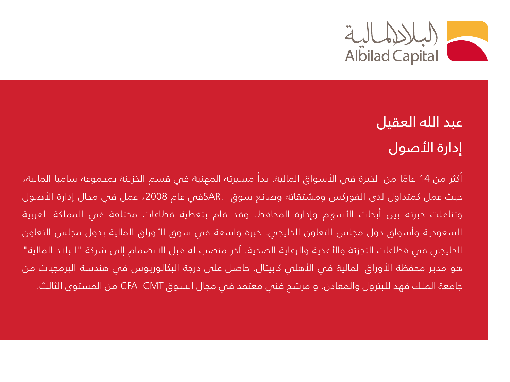

## عبد الله العقيل إدارة األصول

أكثر من 14 عامًا من الخبرة فى الأسواق المالية. بدأ مسيرته المهنية فى قسم الخزينة بمجموعة سامبا المالية، حيث عمل كمتداول لدى الفوركس ومشتقاته وصانع سوق .SARفي عام ،2008 عمل في مجال إدارة األصول وتناقلت خبرته بين أبحاث الأسهم وإدارة المحافظ. وقد قام بتغطية قطاعات مختلفة فى المملكة العربية السعودية وأسواق دول مجلس التعاون الخليجي. خبرة واسعة في سوق األوراق المالية بدول مجلس التعاون الخليجي في قطاعات التجزئة والأغذية والرعاية الصحية. آخر منصب له قبل الانضمام إلى شركة "البلاد المالية" هو مدير محفظة الأوراق المالية في الأهلي كابيتال. حاصل على درجة البكالوريوس في هندسة البرمجيات من جامعة الملك فهد للبترول والمعادن. و مرشح فني معتمد في مجال السوق CMT CFA من المستوى الثالث.